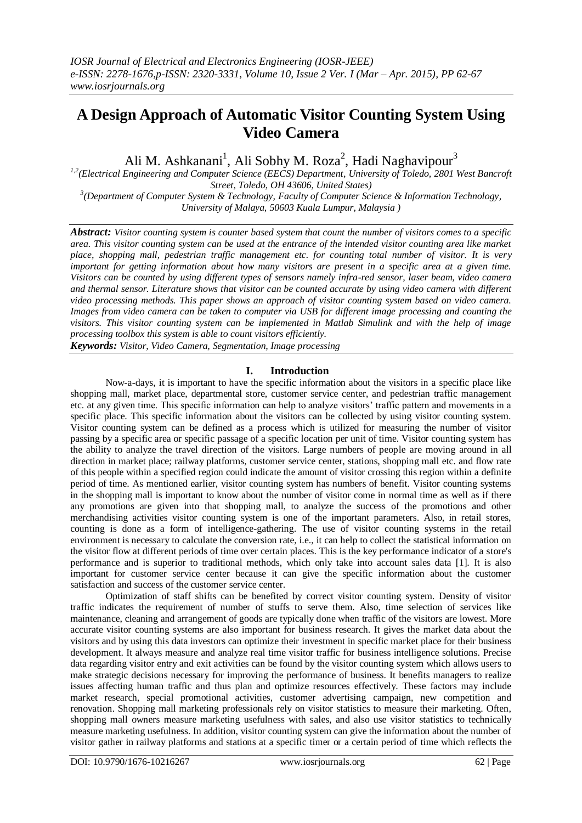# **A Design Approach of Automatic Visitor Counting System Using Video Camera**

Ali M. Ashkanani<sup>1</sup>, Ali Sobhy M. Roza<sup>2</sup>, Hadi Naghavipour<sup>3</sup>

*1,2(Electrical Engineering and Computer Science (EECS) Department, University of Toledo, 2801 West Bancroft Street, Toledo, OH 43606, United States)*

*3 (Department of Computer System & Technology, Faculty of Computer Science & Information Technology, University of Malaya, 50603 Kuala Lumpur, Malaysia )* 

*Abstract: Visitor counting system is counter based system that count the number of visitors comes to a specific area. This visitor counting system can be used at the entrance of the intended visitor counting area like market place, shopping mall, pedestrian traffic management etc. for counting total number of visitor. It is very important for getting information about how many visitors are present in a specific area at a given time. Visitors can be counted by using different types of sensors namely infra-red sensor, laser beam, video camera and thermal sensor. Literature shows that visitor can be counted accurate by using video camera with different video processing methods. This paper shows an approach of visitor counting system based on video camera. Images from video camera can be taken to computer via USB for different image processing and counting the visitors. This visitor counting system can be implemented in Matlab Simulink and with the help of image processing toolbox this system is able to count visitors efficiently.*

*Keywords: Visitor, Video Camera, Segmentation, Image processing*

# **I. Introduction**

Now-a-days, it is important to have the specific information about the visitors in a specific place like shopping mall, market place, departmental store, customer service center, and pedestrian traffic management etc. at any given time. This specific information can help to analyze visitors" traffic pattern and movements in a specific place. This specific information about the visitors can be collected by using visitor counting system. Visitor counting system can be defined as a process which is utilized for measuring the number of visitor passing by a specific area or specific passage of a specific location per unit of time. Visitor counting system has the ability to analyze the travel direction of the visitors. Large numbers of people are moving around in all direction in market place; railway platforms, customer service center, stations, shopping mall etc. and flow rate of this people within a specified region could indicate the amount of visitor crossing this region within a definite period of time. As mentioned earlier, visitor counting system has numbers of benefit. Visitor counting systems in the shopping mall is important to know about the number of visitor come in normal time as well as if there any promotions are given into that shopping mall, to analyze the success of the promotions and other merchandising activities visitor counting system is one of the important parameters. Also, in retail stores, counting is done as a form of intelligence-gathering. The use of visitor counting systems in the retail environment is necessary to calculate the conversion rate, i.e., it can help to collect the statistical information on the visitor flow at different periods of time over certain places. This is the key performance indicator of a store's performance and is superior to traditional methods, which only take into account sales data [1]. It is also important for customer service center because it can give the specific information about the customer satisfaction and success of the customer service center.

Optimization of staff shifts can be benefited by correct visitor counting system. Density of visitor traffic indicates the requirement of number of stuffs to serve them. Also, time selection of services like maintenance, cleaning and arrangement of goods are typically done when traffic of the visitors are lowest. More accurate visitor counting systems are also important for business research. It gives the market data about the visitors and by using this data investors can optimize their investment in specific market place for their business development. It always measure and analyze real time visitor traffic for business intelligence solutions. Precise data regarding visitor entry and exit activities can be found by the visitor counting system which allows users to make strategic decisions necessary for improving the performance of business. It benefits managers to realize issues affecting human traffic and thus plan and optimize resources effectively. These factors may include market research, special promotional activities, customer advertising campaign, new competition and renovation. Shopping mall marketing professionals rely on visitor statistics to measure their marketing. Often, shopping mall owners measure marketing usefulness with sales, and also use visitor statistics to technically measure marketing usefulness. In addition, visitor counting system can give the information about the number of visitor gather in railway platforms and stations at a specific timer or a certain period of time which reflects the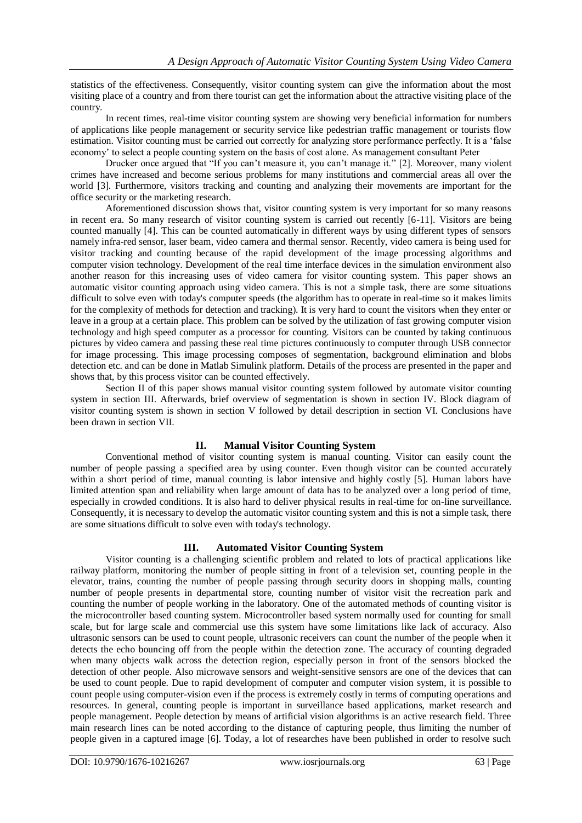statistics of the effectiveness. Consequently, visitor counting system can give the information about the most visiting place of a country and from there tourist can get the information about the attractive visiting place of the country.

In recent times, real-time visitor counting system are showing very beneficial information for numbers of applications like people management or security service like pedestrian traffic management or tourists flow estimation. Visitor counting must be carried out correctly for analyzing store performance perfectly. It is a "false economy" to select a people counting system on the basis of cost alone. As management consultant Peter

Drucker once argued that "If you can"t measure it, you can"t manage it." [2]. Moreover, many violent crimes have increased and become serious problems for many institutions and commercial areas all over the world [3]. Furthermore, visitors tracking and counting and analyzing their movements are important for the office security or the marketing research.

Aforementioned discussion shows that, visitor counting system is very important for so many reasons in recent era. So many research of visitor counting system is carried out recently [6-11]. Visitors are being counted manually [4]. This can be counted automatically in different ways by using different types of sensors namely infra-red sensor, laser beam, video camera and thermal sensor. Recently, video camera is being used for visitor tracking and counting because of the rapid development of the image processing algorithms and computer vision technology. Development of the real time interface devices in the simulation environment also another reason for this increasing uses of video camera for visitor counting system. This paper shows an automatic visitor counting approach using video camera. This is not a simple task, there are some situations difficult to solve even with today's computer speeds (the algorithm has to operate in real-time so it makes limits for the complexity of methods for detection and tracking). It is very hard to count the visitors when they enter or leave in a group at a certain place. This problem can be solved by the utilization of fast growing computer vision technology and high speed computer as a processor for counting. Visitors can be counted by taking continuous pictures by video camera and passing these real time pictures continuously to computer through USB connector for image processing. This image processing composes of segmentation, background elimination and blobs detection etc. and can be done in Matlab Simulink platform. Details of the process are presented in the paper and shows that, by this process visitor can be counted effectively.

Section II of this paper shows manual visitor counting system followed by automate visitor counting system in section III. Afterwards, brief overview of segmentation is shown in section IV. Block diagram of visitor counting system is shown in section V followed by detail description in section VI. Conclusions have been drawn in section VII.

## **II. Manual Visitor Counting System**

Conventional method of visitor counting system is manual counting. Visitor can easily count the number of people passing a specified area by using counter. Even though visitor can be counted accurately within a short period of time, manual counting is labor intensive and highly costly [5]. Human labors have limited attention span and reliability when large amount of data has to be analyzed over a long period of time, especially in crowded conditions. It is also hard to deliver physical results in real-time for on-line surveillance. Consequently, it is necessary to develop the automatic visitor counting system and this is not a simple task, there are some situations difficult to solve even with today's technology.

## **III. Automated Visitor Counting System**

Visitor counting is a challenging scientific problem and related to lots of practical applications like railway platform, monitoring the number of people sitting in front of a television set, counting people in the elevator, trains, counting the number of people passing through security doors in shopping malls, counting number of people presents in departmental store, counting number of visitor visit the recreation park and counting the number of people working in the laboratory. One of the automated methods of counting visitor is the microcontroller based counting system. Microcontroller based system normally used for counting for small scale, but for large scale and commercial use this system have some limitations like lack of accuracy. Also ultrasonic sensors can be used to count people, ultrasonic receivers can count the number of the people when it detects the echo bouncing off from the people within the detection zone. The accuracy of counting degraded when many objects walk across the detection region, especially person in front of the sensors blocked the detection of other people. Also microwave sensors and weight-sensitive sensors are one of the devices that can be used to count people. Due to rapid development of computer and computer vision system, it is possible to count people using computer-vision even if the process is extremely costly in terms of computing operations and resources. In general, counting people is important in surveillance based applications, market research and people management. People detection by means of artificial vision algorithms is an active research field. Three main research lines can be noted according to the distance of capturing people, thus limiting the number of people given in a captured image [6]. Today, a lot of researches have been published in order to resolve such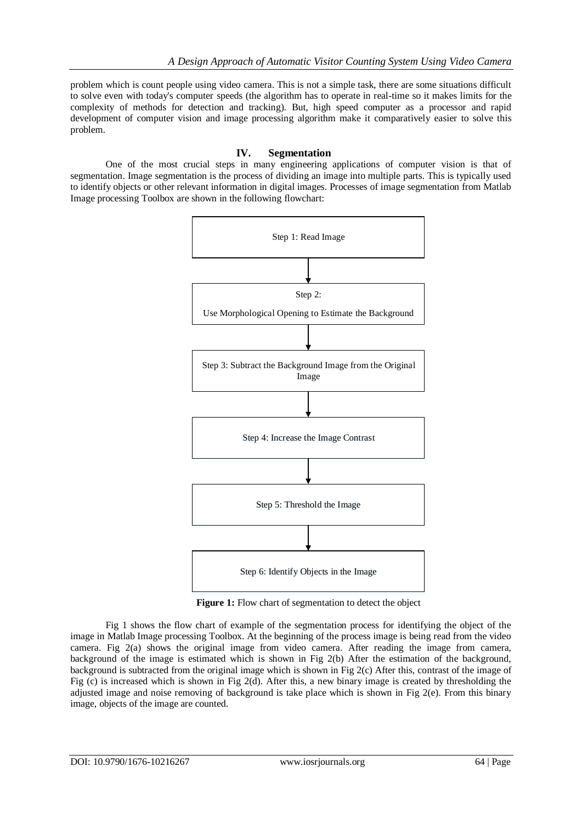problem which is count people using video camera. This is not a simple task, there are some situations difficult to solve even with today's computer speeds (the algorithm has to operate in real-time so it makes limits for the complexity of methods for detection and tracking). But, high speed computer as a processor and rapid development of computer vision and image processing algorithm make it comparatively easier to solve this problem.

# **IV. Segmentation**

One of the most crucial steps in many engineering applications of computer vision is that of segmentation. Image segmentation is the process of dividing an image into multiple parts. This is typically used to identify objects or other relevant information in digital images. Processes of image segmentation from Matlab Image processing Toolbox are shown in the following flowchart:



Figure 1: Flow chart of segmentation to detect the object

Fig 1 shows the flow chart of example of the segmentation process for identifying the object of the image in Matlab Image processing Toolbox. At the beginning of the process image is being read from the video camera. Fig 2(a) shows the original image from video camera. After reading the image from camera, background of the image is estimated which is shown in Fig 2(b) After the estimation of the background, background is subtracted from the original image which is shown in Fig 2(c) After this, contrast of the image of Fig (c) is increased which is shown in Fig 2(d). After this, a new binary image is created by thresholding the adjusted image and noise removing of background is take place which is shown in Fig 2(e). From this binary image, objects of the image are counted.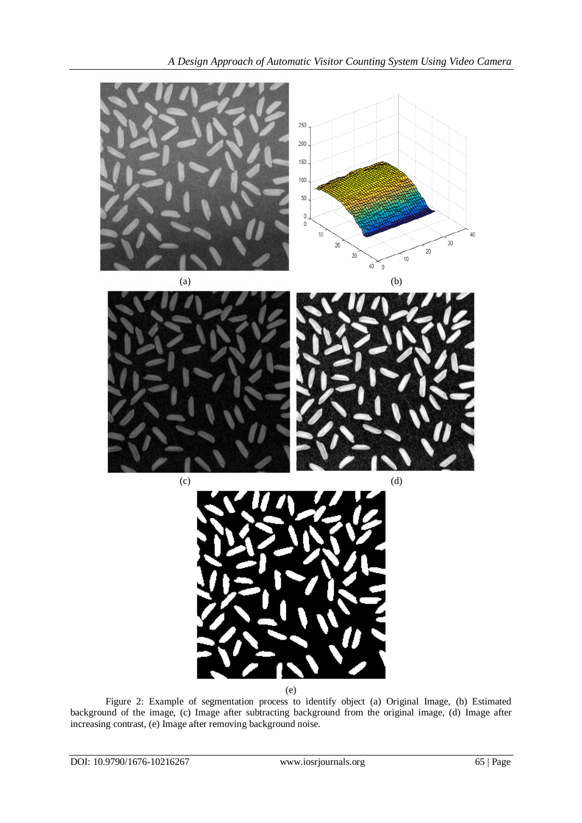

(e)

Figure 2: Example of segmentation process to identify object (a) Original Image, (b) Estimated background of the image, (c) Image after subtracting background from the original image, (d) Image after increasing contrast, (e) Image after removing background noise.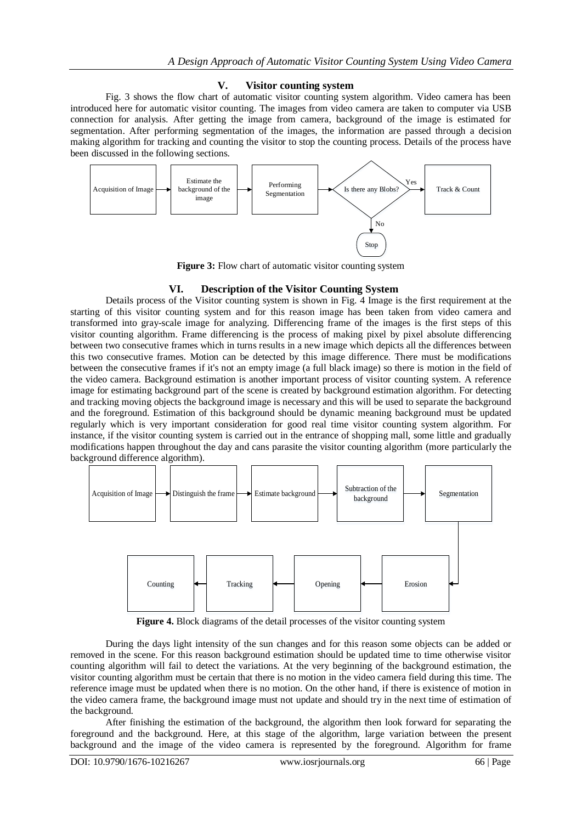## **V. Visitor counting system**

Fig. 3 shows the flow chart of automatic visitor counting system algorithm. Video camera has been introduced here for automatic visitor counting. The images from video camera are taken to computer via USB connection for analysis. After getting the image from camera, background of the image is estimated for segmentation. After performing segmentation of the images, the information are passed through a decision making algorithm for tracking and counting the visitor to stop the counting process. Details of the process have been discussed in the following sections.



**Figure 3:** Flow chart of automatic visitor counting system

#### **VI. Description of the Visitor Counting System**

Details process of the Visitor counting system is shown in Fig. 4 Image is the first requirement at the starting of this visitor counting system and for this reason image has been taken from video camera and transformed into gray-scale image for analyzing. Differencing frame of the images is the first steps of this visitor counting algorithm. Frame differencing is the process of making pixel by pixel absolute differencing between two consecutive frames which in turns results in a new image which depicts all the differences between this two consecutive frames. Motion can be detected by this image difference. There must be modifications between the consecutive frames if it's not an empty image (a full black image) so there is motion in the field of the video camera. Background estimation is another important process of visitor counting system. A reference image for estimating background part of the scene is created by background estimation algorithm. For detecting and tracking moving objects the background image is necessary and this will be used to separate the background and the foreground. Estimation of this background should be dynamic meaning background must be updated regularly which is very important consideration for good real time visitor counting system algorithm. For instance, if the visitor counting system is carried out in the entrance of shopping mall, some little and gradually modifications happen throughout the day and cans parasite the visitor counting algorithm (more particularly the background difference algorithm).



**Figure 4.** Block diagrams of the detail processes of the visitor counting system

During the days light intensity of the sun changes and for this reason some objects can be added or removed in the scene. For this reason background estimation should be updated time to time otherwise visitor counting algorithm will fail to detect the variations. At the very beginning of the background estimation, the visitor counting algorithm must be certain that there is no motion in the video camera field during this time. The reference image must be updated when there is no motion. On the other hand, if there is existence of motion in the video camera frame, the background image must not update and should try in the next time of estimation of the background.

After finishing the estimation of the background, the algorithm then look forward for separating the foreground and the background. Here, at this stage of the algorithm, large variation between the present background and the image of the video camera is represented by the foreground. Algorithm for frame